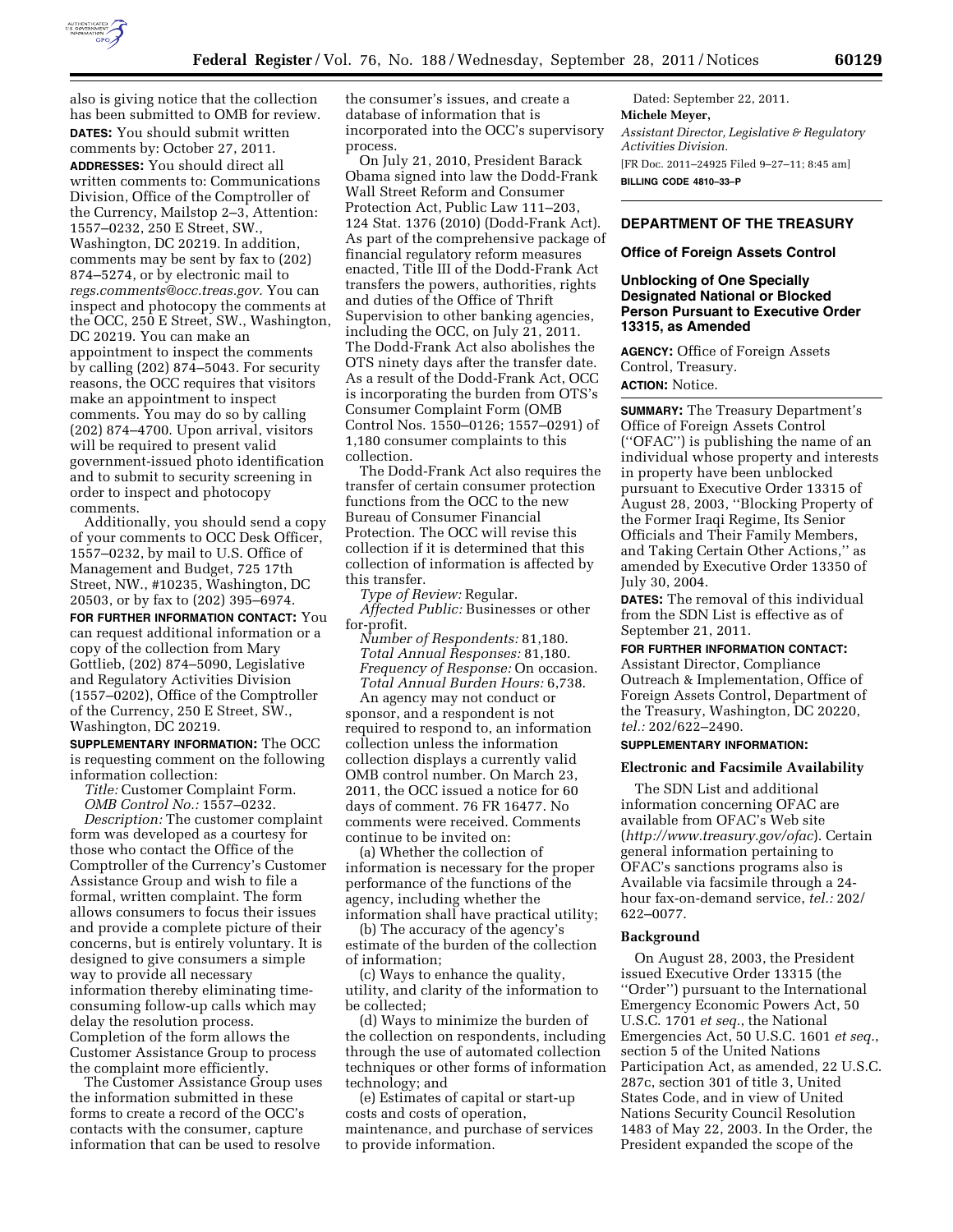

also is giving notice that the collection has been submitted to OMB for review. **DATES:** You should submit written comments by: October 27, 2011. **ADDRESSES:** You should direct all written comments to: Communications Division, Office of the Comptroller of the Currency, Mailstop 2–3, Attention: 1557–0232, 250 E Street, SW., Washington, DC 20219. In addition, comments may be sent by fax to (202) 874–5274, or by electronic mail to *[regs.comments@occ.treas.gov.](mailto:regs.comments@occ.treas.gov)* You can inspect and photocopy the comments at the OCC, 250 E Street, SW., Washington, DC 20219. You can make an appointment to inspect the comments by calling (202) 874–5043. For security reasons, the OCC requires that visitors make an appointment to inspect comments. You may do so by calling (202) 874–4700. Upon arrival, visitors will be required to present valid government-issued photo identification and to submit to security screening in order to inspect and photocopy comments.

Additionally, you should send a copy of your comments to OCC Desk Officer, 1557–0232, by mail to U.S. Office of Management and Budget, 725 17th Street, NW., #10235, Washington, DC 20503, or by fax to (202) 395–6974.

**FOR FURTHER INFORMATION CONTACT:** You can request additional information or a copy of the collection from Mary Gottlieb, (202) 874–5090, Legislative and Regulatory Activities Division (1557–0202), Office of the Comptroller of the Currency, 250 E Street, SW., Washington, DC 20219.

**SUPPLEMENTARY INFORMATION:** The OCC is requesting comment on the following information collection:

*Title:* Customer Complaint Form. *OMB Control No.:* 1557–0232.

*Description:* The customer complaint form was developed as a courtesy for those who contact the Office of the Comptroller of the Currency's Customer Assistance Group and wish to file a formal, written complaint. The form allows consumers to focus their issues and provide a complete picture of their concerns, but is entirely voluntary. It is designed to give consumers a simple way to provide all necessary information thereby eliminating timeconsuming follow-up calls which may delay the resolution process. Completion of the form allows the Customer Assistance Group to process the complaint more efficiently.

The Customer Assistance Group uses the information submitted in these forms to create a record of the OCC's contacts with the consumer, capture information that can be used to resolve

the consumer's issues, and create a database of information that is incorporated into the OCC's supervisory process.

On July 21, 2010, President Barack Obama signed into law the Dodd-Frank Wall Street Reform and Consumer Protection Act, Public Law 111–203, 124 Stat. 1376 (2010) (Dodd-Frank Act). As part of the comprehensive package of financial regulatory reform measures enacted, Title III of the Dodd-Frank Act transfers the powers, authorities, rights and duties of the Office of Thrift Supervision to other banking agencies, including the OCC, on July 21, 2011. The Dodd-Frank Act also abolishes the OTS ninety days after the transfer date. As a result of the Dodd-Frank Act, OCC is incorporating the burden from OTS's Consumer Complaint Form (OMB Control Nos. 1550–0126; 1557–0291) of 1,180 consumer complaints to this collection.

The Dodd-Frank Act also requires the transfer of certain consumer protection functions from the OCC to the new Bureau of Consumer Financial Protection. The OCC will revise this collection if it is determined that this collection of information is affected by this transfer.

*Type of Review:* Regular. *Affected Public:* Businesses or other for-profit.

*Number of Respondents:* 81,180. *Total Annual Responses:* 81,180. *Frequency of Response:* On occasion. *Total Annual Burden Hours:* 6,738.

An agency may not conduct or sponsor, and a respondent is not required to respond to, an information collection unless the information collection displays a currently valid OMB control number. On March 23, 2011, the OCC issued a notice for 60 days of comment. 76 FR 16477. No comments were received. Comments continue to be invited on:

(a) Whether the collection of information is necessary for the proper performance of the functions of the agency, including whether the information shall have practical utility;

(b) The accuracy of the agency's estimate of the burden of the collection of information;

(c) Ways to enhance the quality, utility, and clarity of the information to be collected;

(d) Ways to minimize the burden of the collection on respondents, including through the use of automated collection techniques or other forms of information technology; and

(e) Estimates of capital or start-up costs and costs of operation, maintenance, and purchase of services to provide information.

Dated: September 22, 2011. **Michele Meyer,**  *Assistant Director, Legislative & Regulatory Activities Division.*  [FR Doc. 2011–24925 Filed 9–27–11; 8:45 am] **BILLING CODE 4810–33–P** 

# **DEPARTMENT OF THE TREASURY**

### **Office of Foreign Assets Control**

## **Unblocking of One Specially Designated National or Blocked Person Pursuant to Executive Order 13315, as Amended**

**AGENCY:** Office of Foreign Assets Control, Treasury. **ACTION:** Notice.

**SUMMARY:** The Treasury Department's Office of Foreign Assets Control (''OFAC'') is publishing the name of an individual whose property and interests in property have been unblocked pursuant to Executive Order 13315 of August 28, 2003, ''Blocking Property of the Former Iraqi Regime, Its Senior Officials and Their Family Members, and Taking Certain Other Actions,'' as amended by Executive Order 13350 of July 30, 2004.

**DATES:** The removal of this individual from the SDN List is effective as of September 21, 2011.

## **FOR FURTHER INFORMATION CONTACT:**

Assistant Director, Compliance Outreach & Implementation, Office of Foreign Assets Control, Department of the Treasury, Washington, DC 20220, *tel.:* 202/622–2490.

## **SUPPLEMENTARY INFORMATION:**

### **Electronic and Facsimile Availability**

The SDN List and additional information concerning OFAC are available from OFAC's Web site (*<http://www.treasury.gov/ofac>*). Certain general information pertaining to OFAC's sanctions programs also is Available via facsimile through a 24 hour fax-on-demand service, *tel.:* 202/ 622–0077.

# **Background**

On August 28, 2003, the President issued Executive Order 13315 (the ''Order'') pursuant to the International Emergency Economic Powers Act, 50 U.S.C. 1701 *et seq.*, the National Emergencies Act, 50 U.S.C. 1601 *et seq.*, section 5 of the United Nations Participation Act, as amended, 22 U.S.C. 287c, section 301 of title 3, United States Code, and in view of United Nations Security Council Resolution 1483 of May 22, 2003. In the Order, the President expanded the scope of the